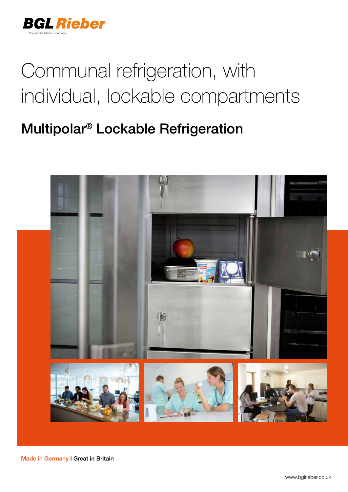

# Communal refrigeration, with individual, lockable compartments

## Multipolar® Lockable Refrigeration



Made in Germany l Great in Britain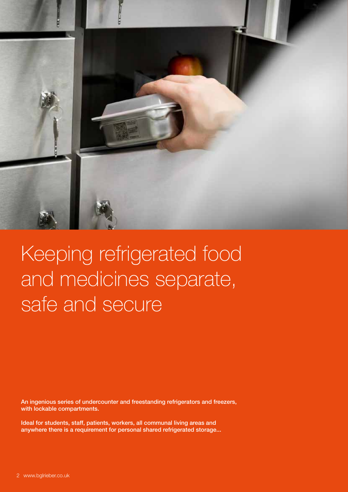

# Keeping refrigerated food and medicines separate, safe and secure

An ingenious series of undercounter and freestanding refrigerators and freezers, with lockable compartments.

Ideal for students, staff, patients, workers, all communal living areas and anywhere there is a requirement for personal shared refrigerated storage...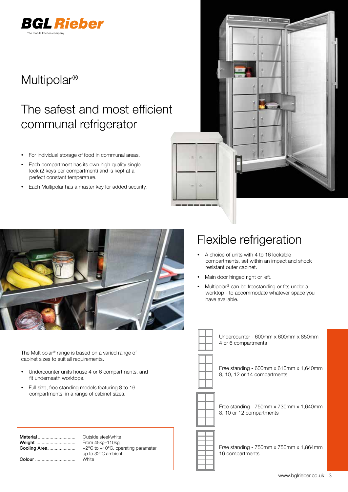

### Multipolar®

## The safest and most efficient communal refrigerator

- For individual storage of food in communal areas.
- Each compartment has its own high quality single lock (2 keys per compartment) and is kept at a perfect constant temperature.
- Each Multipolar has a master key for added security.





The Multipolar® range is based on a varied range of cabinet sizes to suit all requirements.

- Undercounter units house 4 or 6 compartments, and fit underneath worktops.
- Full size, free standing models featuring 8 to 16 compartments, in a range of cabinet sizes.

|              | Outsic           |
|--------------|------------------|
| Weight       | From 4           |
| Cooling Area | $+2^{\circ}$ C i |
|              | up to:           |
| Colour       | White            |
|              |                  |

itside steel/white om 45kg-110kg °C to +10°C, operating parameter to 32°C ambient

#### Flexible refrigeration

- A choice of units with 4 to 16 lockable compartments, set within an impact and shock resistant outer cabinet.
- Main door hinged right or left.
- Multipolar® can be freestanding or fits under a worktop - to accommodate whatever space you have available.



Undercounter - 600mm x 600mm x 850mm 4 or 6 compartments

Free standing - 600mm x 610mm x 1,640mm 8, 10, 12 or 14 compartments



Free standing - 750mm x 730mm x 1,640mm 8, 10 or 12 compartments



Free standing - 750mm x 750mm x 1,864mm 16 compartments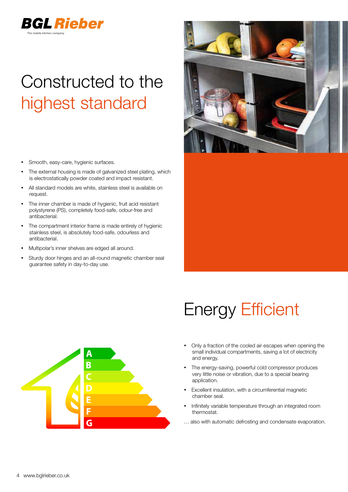

## Constructed to the highest standard

- Smooth, easy-care, hygienic surfaces.
- The external housing is made of galvanized steel plating, which is electrostatically powder coated and impact resistant.
- All standard models are white, stainless steel is available on request.
- The inner chamber is made of hygienic, fruit acid resistant polystyrene (PS), completely food-safe, odour-free and antibacterial.
- The compartment interior frame is made entirely of hygienic stainless steel, is absolutely food-safe, odourless and antibacterial.
- Multipolar's inner shelves are edged all around.
- Sturdy door hinges and an all-round magnetic chamber seal guarantee safety in day-to-day use.



## Energy Efficient

- Only a fraction of the cooled air escapes when opening the small individual compartments, saving a lot of electricity and energy.
- The energy-saving, powerful cold compressor produces very little noise or vibration, due to a special bearing application.
- Excellent insulation, with a circumferential magnetic chamber seal.
- Infinitely variable temperature through an integrated room thermostat.
- … also with automatic defrosting and condensate evaporation.

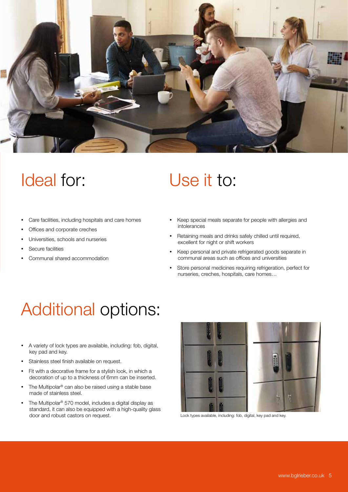

## Ideal for:

- Care facilities, including hospitals and care homes
- Offices and corporate creches
- Universities, schools and nurseries
- Secure facilities
- Communal shared accommodation

## Use it to:

- Keep special meals separate for people with allergies and intolerances
- Retaining meals and drinks safely chilled until required, excellent for night or shift workers
- Keep personal and private refrigerated goods separate in communal areas such as offices and universities
- Store personal medicines requiring refrigeration, perfect for nurseries, creches, hospitals, care homes…

## Additional options:

- A variety of lock types are available, including: fob, digital, key pad and key.
- Stainless steel finish available on request.
- Fit with a decorative frame for a stylish look, in which a decoration of up to a thickness of 6mm can be inserted.
- The Multipolar® can also be raised using a stable base made of stainless steel.
- The Multipolar<sup>®</sup> 570 model, includes a digital display as standard, it can also be equipped with a high-quality glass door and robust castors on request. Lock types available, including: fob, digital, key pad and key.

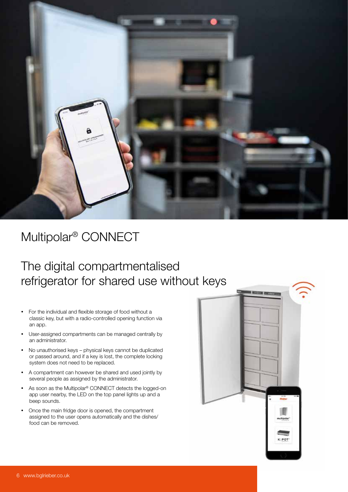

### Multipolar® CONNECT

### The digital compartmentalised refrigerator for shared use without keys

- For the individual and flexible storage of food without a classic key, but with a radio-controlled opening function via an app.
- User-assigned compartments can be managed centrally by an administrator.
- No unauthorised keys physical keys cannot be duplicated or passed around, and if a key is lost, the complete locking system does not need to be replaced.
- A compartment can however be shared and used jointly by several people as assigned by the administrator.
- As soon as the Multipolar® CONNECT detects the logged-on app user nearby, the LED on the top panel lights up and a beep sounds.
- Once the main fridge door is opened, the compartment assigned to the user opens automatically and the dishes/ food can be removed.

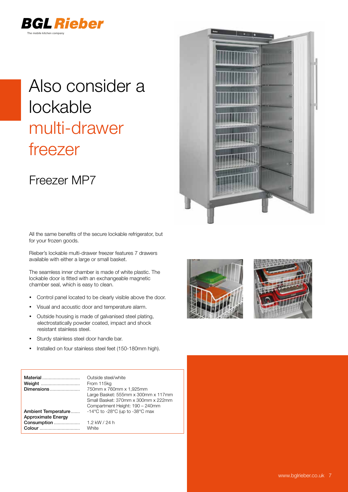

## Also consider a lockable multi-drawer freezer

#### Freezer MP7



Rieber's lockable multi-drawer freezer features 7 drawers available with either a large or small basket.

The seamless inner chamber is made of white plastic. The lockable door is fitted with an exchangeable magnetic chamber seal, which is easy to clean.

- Control panel located to be clearly visible above the door.
- Visual and acoustic door and temperature alarm.
- Outside housing is made of galvanised steel plating, electrostatically powder coated, impact and shock resistant stainless steel.
- Sturdy stainless steel door handle bar.
- Installed on four stainless steel feet (150-180mm high).

| Material<br>Dimensions                           | Outside steel/white<br>From 115kg<br>750mm x 760mm x 1,925mm<br>Large Basket: 555mm x 300mm x 117mm<br>Small Basket: 370mm x 300mm x 222mm<br>Compartment Height: 190 - 240mm |
|--------------------------------------------------|-------------------------------------------------------------------------------------------------------------------------------------------------------------------------------|
| Ambient Temperature<br><b>Approximate Energy</b> | -14 $\degree$ C to -28 $\degree$ C (up to -38 $\degree$ C max                                                                                                                 |
| Consumption<br>Colour                            | 1.2 kW / 24 h<br>White                                                                                                                                                        |